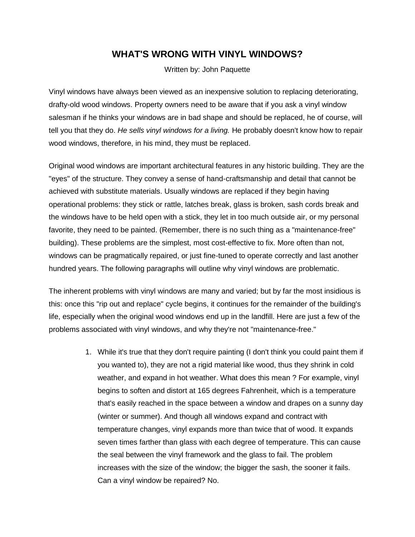## **WHAT'S WRONG WITH VINYL WINDOWS?**

Written by: John Paquette

Vinyl windows have always been viewed as an inexpensive solution to replacing deteriorating, drafty-old wood windows. Property owners need to be aware that if you ask a vinyl window salesman if he thinks your windows are in bad shape and should be replaced, he of course, will tell you that they do. *He sells vinyl windows for a living.* He probably doesn't know how to repair wood windows, therefore, in his mind, they must be replaced.

Original wood windows are important architectural features in any historic building. They are the "eyes" of the structure. They convey a sense of hand-craftsmanship and detail that cannot be achieved with substitute materials. Usually windows are replaced if they begin having operational problems: they stick or rattle, latches break, glass is broken, sash cords break and the windows have to be held open with a stick, they let in too much outside air, or my personal favorite, they need to be painted. (Remember, there is no such thing as a "maintenance-free" building). These problems are the simplest, most cost-effective to fix. More often than not, windows can be pragmatically repaired, or just fine-tuned to operate correctly and last another hundred years. The following paragraphs will outline why vinyl windows are problematic.

The inherent problems with vinyl windows are many and varied; but by far the most insidious is this: once this "rip out and replace" cycle begins, it continues for the remainder of the building's life, especially when the original wood windows end up in the landfill. Here are just a few of the problems associated with vinyl windows, and why they're not "maintenance-free."

> 1. While it's true that they don't require painting (I don't think you could paint them if you wanted to), they are not a rigid material like wood, thus they shrink in cold weather, and expand in hot weather. What does this mean ? For example, vinyl begins to soften and distort at 165 degrees Fahrenheit, which is a temperature that's easily reached in the space between a window and drapes on a sunny day (winter or summer). And though all windows expand and contract with temperature changes, vinyl expands more than twice that of wood. It expands seven times farther than glass with each degree of temperature. This can cause the seal between the vinyl framework and the glass to fail. The problem increases with the size of the window; the bigger the sash, the sooner it fails. Can a vinyl window be repaired? No.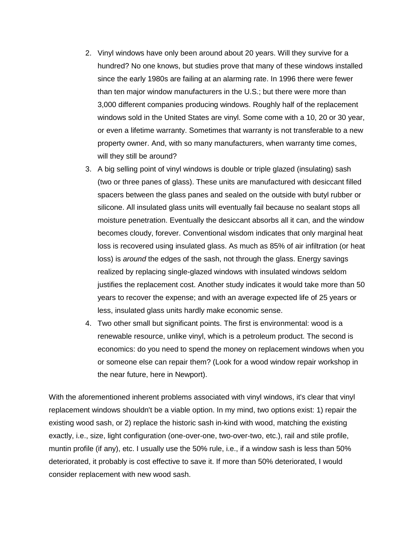- 2. Vinyl windows have only been around about 20 years. Will they survive for a hundred? No one knows, but studies prove that many of these windows installed since the early 1980s are failing at an alarming rate. In 1996 there were fewer than ten major window manufacturers in the U.S.; but there were more than 3,000 different companies producing windows. Roughly half of the replacement windows sold in the United States are vinyl. Some come with a 10, 20 or 30 year, or even a lifetime warranty. Sometimes that warranty is not transferable to a new property owner. And, with so many manufacturers, when warranty time comes, will they still be around?
- 3. A big selling point of vinyl windows is double or triple glazed (insulating) sash (two or three panes of glass). These units are manufactured with desiccant filled spacers between the glass panes and sealed on the outside with butyl rubber or silicone. All insulated glass units will eventually fail because no sealant stops all moisture penetration. Eventually the desiccant absorbs all it can, and the window becomes cloudy, forever. Conventional wisdom indicates that only marginal heat loss is recovered using insulated glass. As much as 85% of air infiltration (or heat loss) is *around* the edges of the sash, not through the glass. Energy savings realized by replacing single-glazed windows with insulated windows seldom justifies the replacement cost. Another study indicates it would take more than 50 years to recover the expense; and with an average expected life of 25 years or less, insulated glass units hardly make economic sense.
- 4. Two other small but significant points. The first is environmental: wood is a renewable resource, unlike vinyl, which is a petroleum product. The second is economics: do you need to spend the money on replacement windows when you or someone else can repair them? (Look for a wood window repair workshop in the near future, here in Newport).

With the aforementioned inherent problems associated with vinyl windows, it's clear that vinyl replacement windows shouldn't be a viable option. In my mind, two options exist: 1) repair the existing wood sash, or 2) replace the historic sash in-kind with wood, matching the existing exactly, i.e., size, light configuration (one-over-one, two-over-two, etc.), rail and stile profile, muntin profile (if any), etc. I usually use the 50% rule, i.e., if a window sash is less than 50% deteriorated, it probably is cost effective to save it. If more than 50% deteriorated, I would consider replacement with new wood sash.